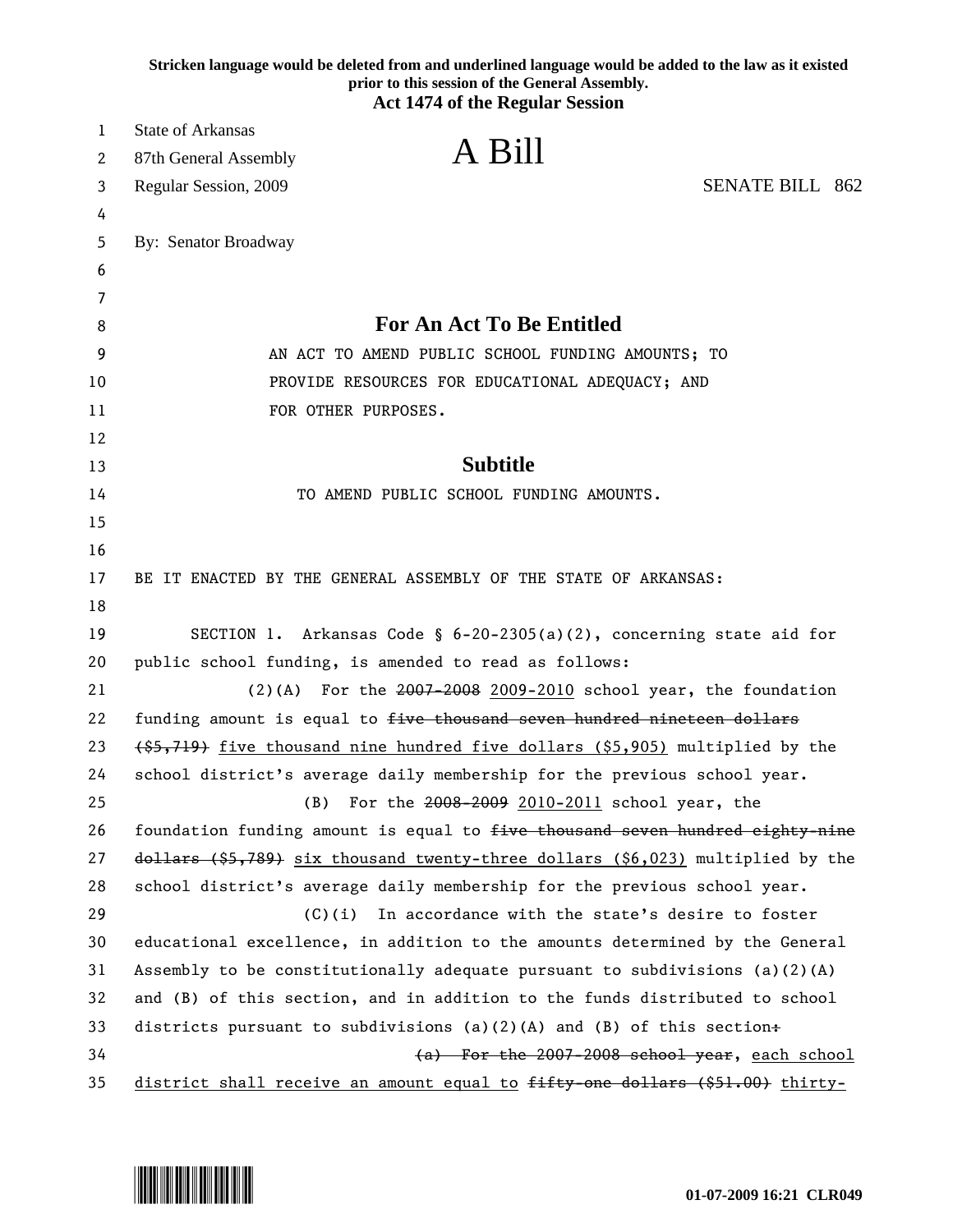| Stricken language would be deleted from and underlined language would be added to the law as it existed<br>prior to this session of the General Assembly.<br><b>Act 1474 of the Regular Session</b> |                                                                                    |
|-----------------------------------------------------------------------------------------------------------------------------------------------------------------------------------------------------|------------------------------------------------------------------------------------|
| 1                                                                                                                                                                                                   | State of Arkansas                                                                  |
| 2                                                                                                                                                                                                   | A Bill<br>87th General Assembly                                                    |
| 3                                                                                                                                                                                                   | <b>SENATE BILL 862</b><br>Regular Session, 2009                                    |
| 4                                                                                                                                                                                                   |                                                                                    |
| 5                                                                                                                                                                                                   | By: Senator Broadway                                                               |
| 6                                                                                                                                                                                                   |                                                                                    |
| 7                                                                                                                                                                                                   |                                                                                    |
| 8                                                                                                                                                                                                   | <b>For An Act To Be Entitled</b>                                                   |
| 9                                                                                                                                                                                                   | AN ACT TO AMEND PUBLIC SCHOOL FUNDING AMOUNTS; TO                                  |
| 10                                                                                                                                                                                                  | PROVIDE RESOURCES FOR EDUCATIONAL ADEQUACY; AND                                    |
| 11                                                                                                                                                                                                  | FOR OTHER PURPOSES.                                                                |
| 12                                                                                                                                                                                                  |                                                                                    |
| 13                                                                                                                                                                                                  | <b>Subtitle</b>                                                                    |
| 14                                                                                                                                                                                                  | TO AMEND PUBLIC SCHOOL FUNDING AMOUNTS.                                            |
| 15                                                                                                                                                                                                  |                                                                                    |
| 16                                                                                                                                                                                                  |                                                                                    |
| 17                                                                                                                                                                                                  | BE IT ENACTED BY THE GENERAL ASSEMBLY OF THE STATE OF ARKANSAS:                    |
| 18                                                                                                                                                                                                  |                                                                                    |
| 19                                                                                                                                                                                                  | SECTION 1. Arkansas Code § $6-20-2305(a)(2)$ , concerning state aid for            |
| 20                                                                                                                                                                                                  | public school funding, is amended to read as follows:                              |
| 21                                                                                                                                                                                                  | $(2)(A)$ For the 2007-2008 2009-2010 school year, the foundation                   |
| 22                                                                                                                                                                                                  | funding amount is equal to five thousand seven hundred nineteen dollars            |
| 23                                                                                                                                                                                                  | (\$5,719) five thousand nine hundred five dollars (\$5,905) multiplied by the      |
| 24                                                                                                                                                                                                  | school district's average daily membership for the previous school year.           |
| 25                                                                                                                                                                                                  | (B)<br>For the 2008-2009 2010-2011 school year, the                                |
| 26                                                                                                                                                                                                  | foundation funding amount is equal to five thousand seven hundred eighty-nine      |
| 27                                                                                                                                                                                                  | $d$ ollars (\$5,789) six thousand twenty-three dollars (\$6,023) multiplied by the |
| 28                                                                                                                                                                                                  | school district's average daily membership for the previous school year.           |
| 29                                                                                                                                                                                                  | In accordance with the state's desire to foster<br>(C)(i)                          |
| 30                                                                                                                                                                                                  | educational excellence, in addition to the amounts determined by the General       |
| 31                                                                                                                                                                                                  | Assembly to be constitutionally adequate pursuant to subdivisions (a)(2)(A)        |
| 32                                                                                                                                                                                                  | and (B) of this section, and in addition to the funds distributed to school        |
| 33                                                                                                                                                                                                  | districts pursuant to subdivisions (a)(2)(A) and (B) of this section+              |
| 34                                                                                                                                                                                                  | (a) For the 2007-2008 school year, each school                                     |
| 35                                                                                                                                                                                                  | district shall receive an amount equal to fifty one dollars (\$51.00) thirty-      |